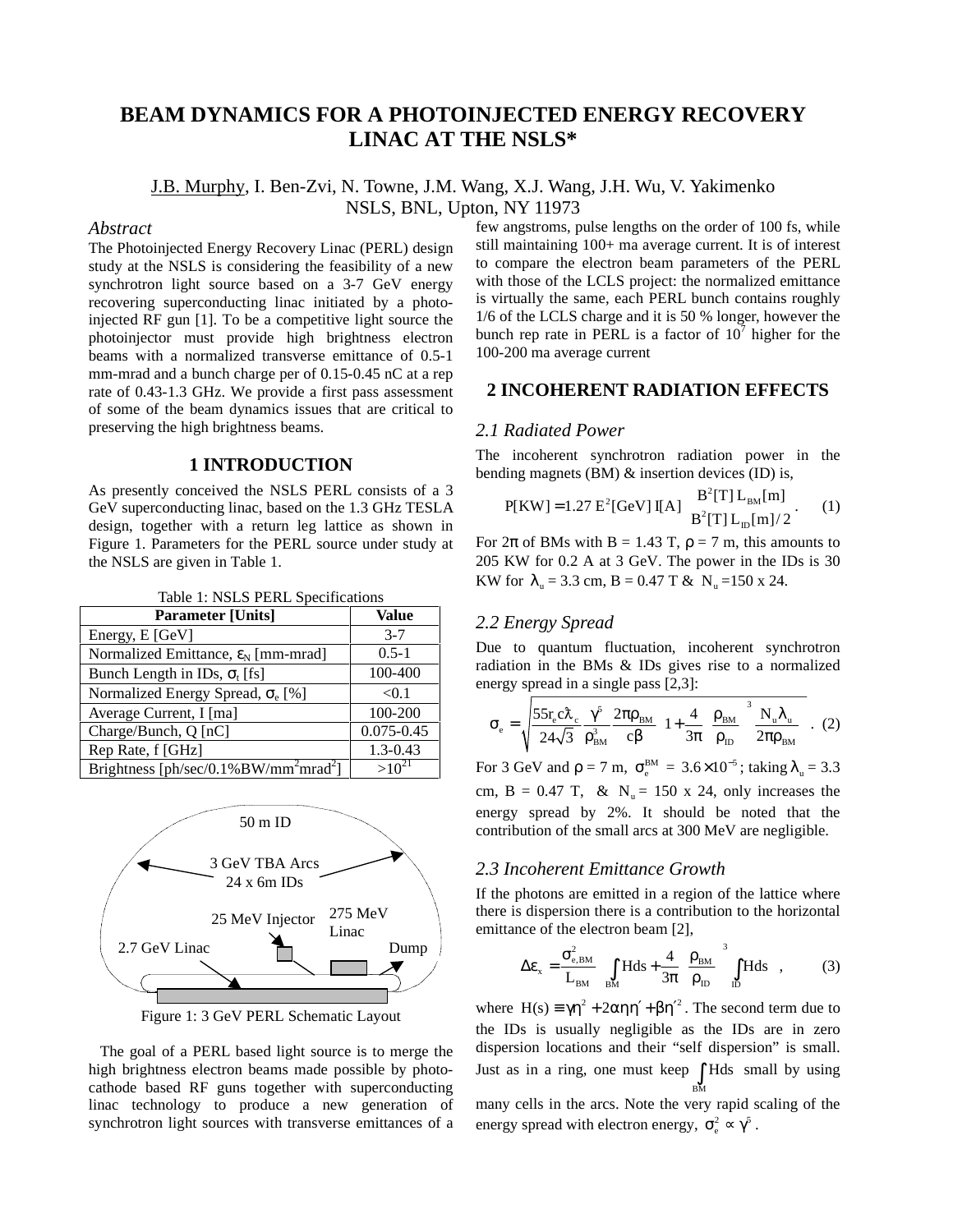# **BEAM DYNAMICS FOR A PHOTOINJECTED ENERGY RECOVERY LINAC AT THE NSLS\***

J.B. Murphy, I. Ben-Zvi, N. Towne, J.M. Wang, X.J. Wang, J.H. Wu, V. Yakimenko NSLS, BNL, Upton, NY 11973

#### *Abstract*

The Photoinjected Energy Recovery Linac (PERL) design study at the NSLS is considering the feasibility of a new synchrotron light source based on a 3-7 GeV energy recovering superconducting linac initiated by a photoinjected RF gun [1]. To be a competitive light source the photoinjector must provide high brightness electron beams with a normalized transverse emittance of 0.5-1 mm-mrad and a bunch charge per of 0.15-0.45 nC at a rep rate of 0.43-1.3 GHz. We provide a first pass assessment of some of the beam dynamics issues that are critical to preserving the high brightness beams.

### **1 INTRODUCTION**

As presently conceived the NSLS PERL consists of a 3 GeV superconducting linac, based on the 1.3 GHz TESLA design, together with a return leg lattice as shown in Figure 1. Parameters for the PERL source under study at the NSLS are given in Table 1.

Table 1: NSLS PERL Specifications

| <b>Parameter [Units]</b>                                      | Value          |
|---------------------------------------------------------------|----------------|
| Energy, E [GeV]                                               | $3 - 7$        |
| Normalized Emittance, $\varepsilon_N$ [mm-mrad]               | $0.5 - 1$      |
| Bunch Length in IDs, $\sigma_t$ [fs]                          | 100-400        |
| Normalized Energy Spread, $\sigma_e$ [%]                      | < 0.1          |
| Average Current, I [ma]                                       | 100-200        |
| Charge/Bunch, Q [nC]                                          | $0.075 - 0.45$ |
| Rep Rate, f [GHz]                                             | $1.3 - 0.43$   |
| Brightness [ph/sec/0.1%BW/mm <sup>2</sup> mrad <sup>2</sup> ] |                |



Figure 1: 3 GeV PERL Schematic Layout

 The goal of a PERL based light source is to merge the high brightness electron beams made possible by photocathode based RF guns together with superconducting linac technology to produce a new generation of synchrotron light sources with transverse emittances of a few angstroms, pulse lengths on the order of 100 fs, while still maintaining 100+ ma average current. It is of interest to compare the electron beam parameters of the PERL with those of the LCLS project: the normalized emittance is virtually the same, each PERL bunch contains roughly 1/6 of the LCLS charge and it is 50 % longer, however the bunch rep rate in PERL is a factor of  $10^7$  higher for the 100-200 ma average current

### **2 INCOHERENT RADIATION EFFECTS**

#### *2.1 Radiated Power*

The incoherent synchrotron radiation power in the bending magnets (BM) & insertion devices (ID) is,

$$
P[KW] = 1.27 E^{2} [GeV] I[A] \begin{cases} B^{2}[T] L_{BM}[m] \\ B^{2}[T] L_{D}[m]/2 \end{cases}
$$
 (1)

For  $2\pi$  of BMs with B = 1.43 T,  $\rho = 7$  m, this amounts to 205 KW for 0.2 A at 3 GeV. The power in the IDs is 30 KW for  $\lambda_n = 3.3$  cm, B = 0.47 T & N<sub>n</sub> =150 x 24.

### *2.2 Energy Spread*

Due to quantum fluctuation, incoherent synchrotron radiation in the BMs & IDs gives rise to a normalized energy spread in a single pass [2,3]:

$$
\sigma_{\rm e} = \sqrt{\frac{55r_{\rm e}c\lambda_{\rm e}}{24\sqrt{3}}\frac{\gamma^5}{\rho_{\rm BM}^3}\frac{2\pi\rho_{\rm BM}}{c\beta}}\left(1 + \frac{4}{3\pi}\left(\frac{\rho_{\rm BM}}{\rho_{\rm ID}}\right)^3\frac{N_{\rm u}\lambda_{\rm u}}{2\pi\rho_{\rm BM}}\right). (2)
$$

For 3 GeV and  $\rho = 7$  m,  $\sigma_{\rm g}^{\rm BM} = 3.6 \times 10^{-5}$ ; taking  $\lambda_{\rm u} = 3.3$ cm,  $B = 0.47$  T, & N<sub>u</sub> = 150 x 24, only increases the energy spread by 2%. It should be noted that the contribution of the small arcs at 300 MeV are negligible.

### *2.3 Incoherent Emittance Growth*

If the photons are emitted in a region of the lattice where there is dispersion there is a contribution to the horizontal emittance of the electron beam [2],

$$
\Delta \varepsilon_{x} = \frac{\sigma_{e,BM}^{2}}{L_{BM}} \left[ \int_{BM} H ds + \frac{4}{3\pi} \left( \frac{\rho_{BM}}{\rho_{ID}} \right)^{3} \int_{ID} H ds \right],
$$
 (3)

where  $H(s) = \gamma \eta^2 + 2\alpha \eta \eta' + \beta \eta'^2$ . The second term due to the IDs is usually negligible as the IDs are in zero dispersion locations and their "self dispersion" is small. Just as in a ring, one must keep  $\int$  Hds small by using BM many cells in the arcs. Note the very rapid scaling of the energy spread with electron energy,  $\sigma_{\rm e}^2 \propto \gamma^5$ .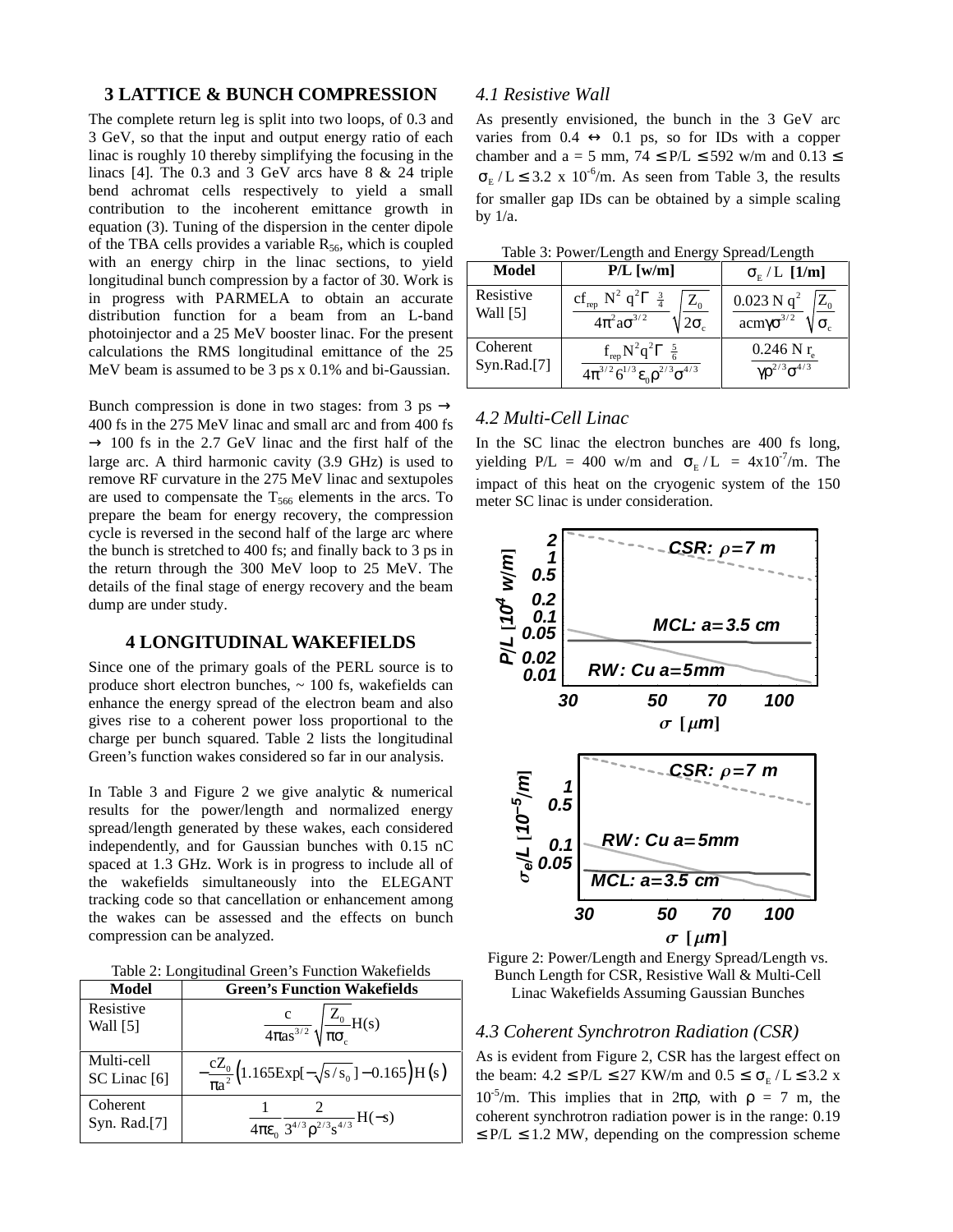### **3 LATTICE & BUNCH COMPRESSION**

The complete return leg is split into two loops, of 0.3 and 3 GeV, so that the input and output energy ratio of each linac is roughly 10 thereby simplifying the focusing in the linacs [4]. The 0.3 and 3 GeV arcs have 8 & 24 triple bend achromat cells respectively to yield a small contribution to the incoherent emittance growth in equation (3). Tuning of the dispersion in the center dipole of the TBA cells provides a variable  $R_{56}$ , which is coupled with an energy chirp in the linac sections, to yield longitudinal bunch compression by a factor of 30. Work is in progress with PARMELA to obtain an accurate distribution function for a beam from an L-band photoinjector and a 25 MeV booster linac. For the present calculations the RMS longitudinal emittance of the 25 MeV beam is assumed to be 3 ps x 0.1% and bi-Gaussian.

Bunch compression is done in two stages: from 3 ps  $\rightarrow$ 400 fs in the 275 MeV linac and small arc and from 400 fs  $\rightarrow$  100 fs in the 2.7 GeV linac and the first half of the large arc. A third harmonic cavity (3.9 GHz) is used to remove RF curvature in the 275 MeV linac and sextupoles are used to compensate the  $T_{566}$  elements in the arcs. To prepare the beam for energy recovery, the compression cycle is reversed in the second half of the large arc where the bunch is stretched to 400 fs; and finally back to 3 ps in the return through the 300 MeV loop to 25 MeV. The details of the final stage of energy recovery and the beam dump are under study.

### **4 LONGITUDINAL WAKEFIELDS**

Since one of the primary goals of the PERL source is to produce short electron bunches, ~ 100 fs, wakefields can enhance the energy spread of the electron beam and also gives rise to a coherent power loss proportional to the charge per bunch squared. Table 2 lists the longitudinal Green's function wakes considered so far in our analysis.

In Table 3 and Figure 2 we give analytic & numerical results for the power/length and normalized energy spread/length generated by these wakes, each considered independently, and for Gaussian bunches with 0.15 nC spaced at 1.3 GHz. Work is in progress to include all of the wakefields simultaneously into the ELEGANT tracking code so that cancellation or enhancement among the wakes can be assessed and the effects on bunch compression can be analyzed.

Table 2: Longitudinal Green's Function Wakefields

| Model                      | <b>Green's Function Wakefields</b>                                  |  |  |
|----------------------------|---------------------------------------------------------------------|--|--|
| Resistive<br>Wall [5]      | $\frac{c}{4\pi\alpha s^{3/2}}\sqrt{\frac{Z_0}{\pi\sigma_c}}H(s)$    |  |  |
| Multi-cell<br>SC Linac [6] | $-\frac{cZ_0}{\pi a^2}$ (1.165Exp[ $-\sqrt{s/s_0}$ ] – 0.165)H(s)   |  |  |
| Coherent<br>Syn. Rad.[7]   | $rac{1}{4\pi\epsilon_0} \frac{2}{3^{4/3} \rho^{2/3} s^{4/3}} H(-s)$ |  |  |

#### *4.1 Resistive Wall*

As presently envisioned, the bunch in the 3 GeV arc varies from  $0.4 \leftrightarrow 0.1$  ps, so for IDs with a copper chamber and a = 5 mm,  $74 \leq P/L \leq 592$  w/m and  $0.13 \leq$  $\sigma_{\rm E}$  / L  $\leq$  3.2 x 10<sup>-6</sup>/m. As seen from Table 3, the results for smaller gap IDs can be obtained by a simple scaling by 1/a.

|  | Table 3: Power/Length and Energy Spread/Length |
|--|------------------------------------------------|
|  |                                                |

| $10000$ $\mu$ $10000$ $\mu$ $1000$ $\mu$ $1000$ $\mu$<br>$5.5.5$ $\mu$ $\sigma$ $\sigma$ $\sigma$ $\sigma$ |                                                                                                                    |                                                              |  |
|------------------------------------------------------------------------------------------------------------|--------------------------------------------------------------------------------------------------------------------|--------------------------------------------------------------|--|
| <b>Model</b>                                                                                               | $P/L$ [w/m]                                                                                                        | $\sigma_{\rm E}$ / L [1/m]                                   |  |
| Resistive<br>Wall $[5]$                                                                                    | $cf_{rep} N^2 q^2 \Gamma \left[\frac{3}{4}\right]$<br>$Z_0$<br>$4\pi^2 a\sigma^{3/2}$                              | $0.023$ N q <sup>2</sup><br>$Z_0$<br>acmγ $σ^{3/2}$          |  |
| Coherent<br>Syn.Rad.[7]                                                                                    | $f_{\text{rep}}N^2q^2\Gamma\left[\frac{5}{6}\right]$<br>$4\pi^{3/2} 6^{1/3} \varepsilon_0 \rho^{2/3} \sigma^{4/3}$ | $0.246$ N r <sub>a</sub><br>$\gamma \rho^{2/3} \sigma^{4/3}$ |  |

# *4.2 Multi-Cell Linac*

In the SC linac the electron bunches are 400 fs long, yielding P/L = 400 w/m and  $\sigma_{\rm E}$  /L = 4x10<sup>-7</sup>/m. The impact of this heat on the cryogenic system of the 150 meter SC linac is under consideration.





### *4.3 Coherent Synchrotron Radiation (CSR)*

As is evident from Figure 2, CSR has the largest effect on the beam:  $4.2 \leq P/L \leq 27$  KW/m and  $0.5 \leq \sigma_{\rm F}$  / L  $\leq 3.2$  x  $10^{-5}$ /m. This implies that in 2πρ, with ρ = 7 m, the coherent synchrotron radiation power is in the range: 0.19  $\leq$  P/L  $\leq$  1.2 MW, depending on the compression scheme